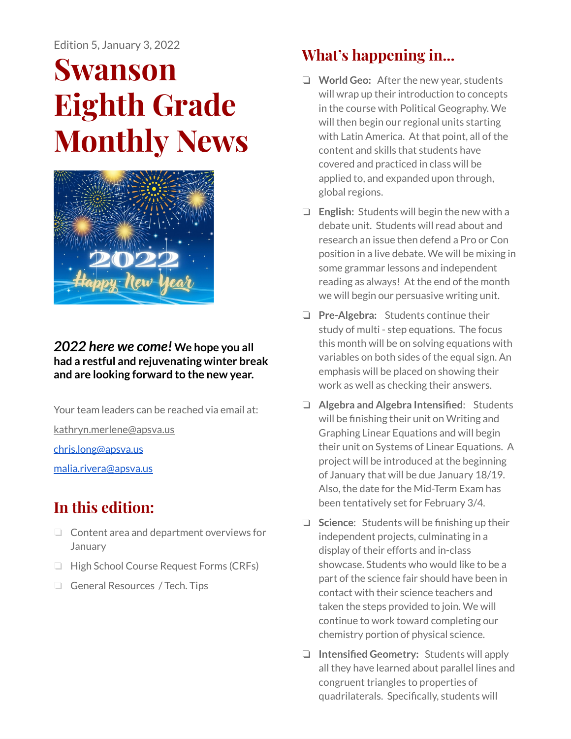# **Swanson Eighth Grade Monthly News**



#### *2022 here we come!* **We hope you all had a restful and rejuvenating winter break and are looking forward to the new year.**

Your team leaders can be reached via email at: [kathryn.merlene@apsva.us](mailto:kathryn.merlene@apsva.us)

[chris.long@apsva.us](mailto:chris.long@apsva.us)

[malia.rivera@apsva.us](mailto:malia.rivera@apsva.us)

# **In this edition:**

- ❏ Content area and department overviews for January
- ❏ High School Course Request Forms (CRFs)
- ❏ General Resources / Tech. Tips

## **What's happening in...**

- ❏ **World Geo:** After the new year, students will wrap up their introduction to concepts in the course with Political Geography. We will then begin our regional units starting with Latin America. At that point, all of the content and skills that students have covered and practiced in class will be applied to, and expanded upon through, global regions.
- ❏ **English:** Students will begin the new with a debate unit. Students will read about and research an issue then defend a Pro or Con position in a live debate. We will be mixing in some grammar lessons and independent reading as always! At the end of the month we will begin our persuasive writing unit.
- ❏ **Pre-Algebra:** Students continue their study of multi - step equations. The focus this month will be on solving equations with variables on both sides of the equal sign. An emphasis will be placed on showing their work as well as checking their answers.
- ❏ **Algebra and Algebra Intensified**: Students will be finishing their unit on Writing and Graphing Linear Equations and will begin their unit on Systems of Linear Equations. A project will be introduced at the beginning of January that will be due January 18/19. Also, the date for the Mid-Term Exam has been tentatively set for February 3/4.
- ❏ **Science**: Students will be finishing up their independent projects, culminating in a display of their efforts and in-class showcase. Students who would like to be a part of the science fair should have been in contact with their science teachers and taken the steps provided to join. We will continue to work toward completing our chemistry portion of physical science.
- ❏ **Intensified Geometry:** Students will apply all they have learned about parallel lines and congruent triangles to properties of quadrilaterals. Specifically, students will